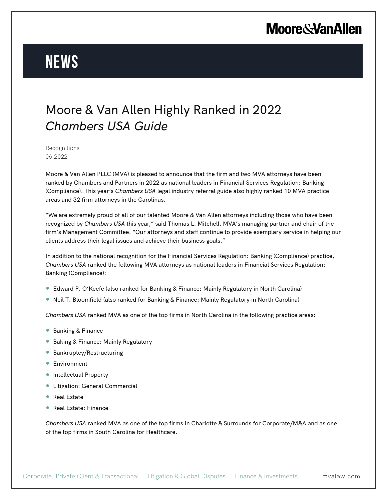## **Moore & Van Allen**

# **News**

#### Moore & Van Allen Highly Ranked in 2022 *Chambers USA Guide*

Recognitions 06.2022

Moore & Van Allen PLLC (MVA) is pleased to announce that the firm and two MVA attorneys have been ranked by Chambers and Partners in 2022 as national leaders in Financial Services Regulation: Banking (Compliance). This year's *Chambers USA* legal industry referral guide also highly ranked 10 MVA practice areas and 32 firm attorneys in the Carolinas.

"We are extremely proud of all of our talented Moore & Van Allen attorneys including those who have been recognized by *Chambers USA* this year," said Thomas L. Mitchell, MVA's managing partner and chair of the firm's Management Committee. "Our attorneys and staff continue to provide exemplary service in helping our clients address their legal issues and achieve their business goals."

In addition to the national recognition for the Financial Services Regulation: Banking (Compliance) practice, *Chambers USA* ranked the following MVA attorneys as national leaders in Financial Services Regulation: Banking (Compliance):

- Edward P. O'Keefe (also ranked for Banking & Finance: Mainly Regulatory in North Carolina)
- Neil T. Bloomfield (also ranked for Banking & Finance: Mainly Regulatory in North Carolina)

*Chambers USA* ranked MVA as one of the top firms in North Carolina in the following practice areas:

- Banking & Finance
- Baking & Finance: Mainly Regulatory
- Bankruptcy/Restructuring
- Environment
- Intellectual Property
- Litigation: General Commercial
- Real Estate
- Real Estate: Finance

*Chambers USA* ranked MVA as one of the top firms in Charlotte & Surrounds for Corporate/M&A and as one of the top firms in South Carolina for Healthcare.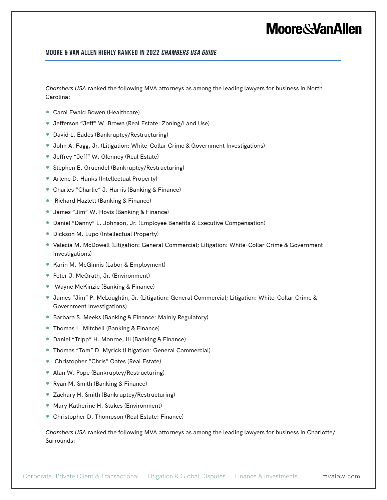### **Moore&VanAllen**

#### **Moore & Van Allen Highly Ranked in 2022 Chambers USA Guide**

*Chambers USA* ranked the following MVA attorneys as among the leading lawyers for business in North Carolina:

- Carol Ewald Bowen (Healthcare)
- Jefferson "Jeff" W. Brown (Real Estate: Zoning/Land Use)
- David L. Eades (Bankruptcy/Restructuring)
- John A. Fagg, Jr. (Litigation: White-Collar Crime & Government Investigations)
- Jeffrey "Jeff" W. Glenney (Real Estate)
- Stephen E. Gruendel (Bankruptcy/Restructuring)
- Arlene D. Hanks (Intellectual Property)
- Charles "Charlie" J. Harris (Banking & Finance)
- Richard Hazlett (Banking & Finance)
- James "Jim" W. Hovis (Banking & Finance)
- Daniel "Danny" L. Johnson, Jr. (Employee Benefits & Executive Compensation)
- Dickson M. Lupo (Intellectual Property)
- Valecia M. McDowell (Litigation: General Commercial; Litigation: White-Collar Crime & Government Investigations)
- Karin M. McGinnis (Labor & Employment)
- Peter J. McGrath, Jr. (Environment)
- Wayne McKinzie (Banking & Finance)
- James "Jim" P. McLoughlin, Jr. (Litigation: General Commercial; Litigation: White-Collar Crime & Government Investigations)
- Barbara S. Meeks (Banking & Finance: Mainly Regulatory)
- Thomas L. Mitchell (Banking & Finance)
- Daniel "Tripp" H. Monroe, III (Banking & Finance)
- Thomas "Tom" D. Myrick (Litigation: General Commercial)
- Christopher "Chris" Oates (Real Estate)
- Alan W. Pope (Bankruptcy/Restructuring)
- Ryan M. Smith (Banking & Finance)
- Zachary H. Smith (Bankruptcy/Restructuring)
- Mary Katherine H. Stukes (Environment)
- Christopher D. Thompson (Real Estate: Finance)

*Chambers USA* ranked the following MVA attorneys as among the leading lawyers for business in Charlotte/ Surrounds: